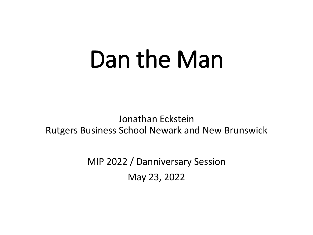# Dan the Man

Jonathan Eckstein Rutgers Business School Newark and New Brunswick

> MIP 2022 / Danniversary Session May 23, 2022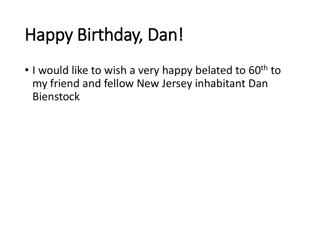# Happy Birthday, Dan!

• I would like to wish a very happy belated to 60<sup>th</sup> to my friend and fellow New Jersey inhabitant Dan Bienstock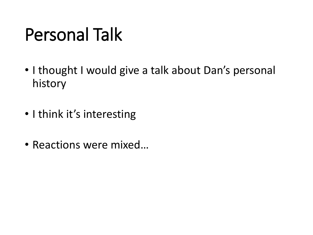#### Personal Talk

- I thought I would give a talk about Dan's personal history
- I think it's interesting
- Reactions were mixed…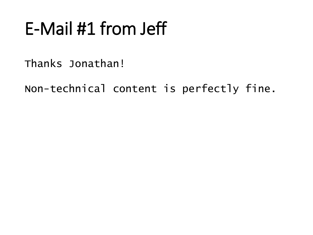### E-Mail #1 from Jeff

Thanks Jonathan!

Non-technical content is perfectly fine.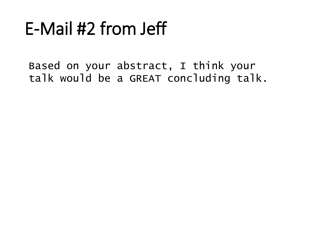### E-Mail #2 from Jeff

Based on your abstract, I think your talk would be a GREAT concluding talk.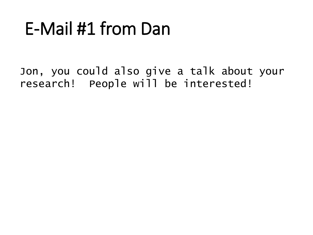#### E-Mail #1 from Dan

Jon, you could also give a talk about your research! People will be interested!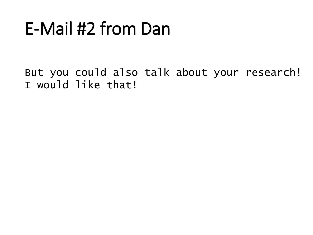### E-Mail #2 from Dan

But you could also talk about your research! I would like that!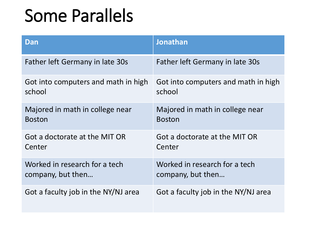#### Some Parallels

| Dan                                 | Jonathan                            |
|-------------------------------------|-------------------------------------|
| Father left Germany in late 30s     | Father left Germany in late 30s     |
| Got into computers and math in high | Got into computers and math in high |
| school                              | school                              |
| Majored in math in college near     | Majored in math in college near     |
| <b>Boston</b>                       | <b>Boston</b>                       |
| Got a doctorate at the MIT OR       | Got a doctorate at the MIT OR       |
| Center                              | Center                              |
| Worked in research for a tech       | Worked in research for a tech       |
| company, but then                   | company, but then                   |
| Got a faculty job in the NY/NJ area | Got a faculty job in the NY/NJ area |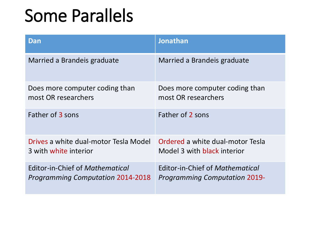#### Some Parallels

| Dan                                      | <b>Jonathan</b>                      |
|------------------------------------------|--------------------------------------|
| Married a Brandeis graduate              | Married a Brandeis graduate          |
| Does more computer coding than           | Does more computer coding than       |
| most OR researchers                      | most OR researchers                  |
| Father of 3 sons                         | Father of 2 sons                     |
| Drives a white dual-motor Tesla Model    | Ordered a white dual-motor Tesla     |
| 3 with white interior                    | Model 3 with black interior          |
| Editor-in-Chief of Mathematical          | Editor-in-Chief of Mathematical      |
| <b>Programming Computation 2014-2018</b> | <b>Programming Computation 2019-</b> |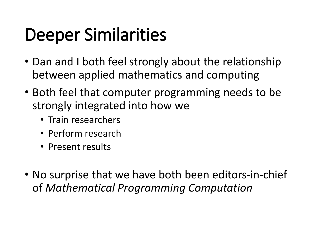### Deeper Similarities

- Dan and I both feel strongly about the relationship between applied mathematics and computing
- Both feel that computer programming needs to be strongly integrated into how we
	- Train researchers
	- Perform research
	- Present results
- No surprise that we have both been editors-in-chief of *Mathematical Programming Computation*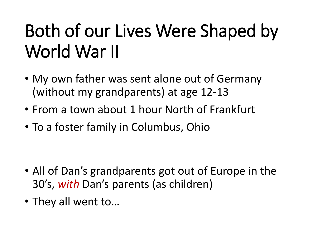# Both of our Lives Were Shaped by World War II

- My own father was sent alone out of Germany (without my grandparents) at age 12-13
- From a town about 1 hour North of Frankfurt
- To a foster family in Columbus, Ohio

- All of Dan's grandparents got out of Europe in the 30's, *with* Dan's parents (as children)
- They all went to…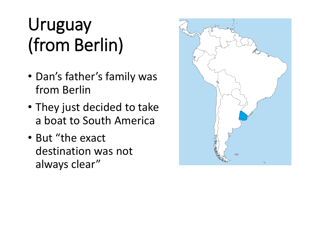### Uruguay (from Berlin)

- Dan's father's family was from Berlin
- They just decided to take a boat to South America
- But "the exact destination was not always clear"

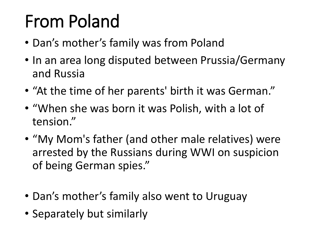# From Poland

- Dan's mother's family was from Poland
- In an area long disputed between Prussia/Germany and Russia
- "At the time of her parents' birth it was German."
- "When she was born it was Polish, with a lot of tension."
- "My Mom's father (and other male relatives) were arrested by the Russians during WWI on suspicion of being German spies."
- Dan's mother's family also went to Uruguay
- Separately but similarly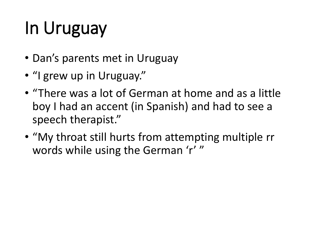# In Uruguay

- Dan's parents met in Uruguay
- "I grew up in Uruguay."
- "There was a lot of German at home and as a little boy I had an accent (in Spanish) and had to see a speech therapist."
- "My throat still hurts from attempting multiple rr words while using the German 'r' "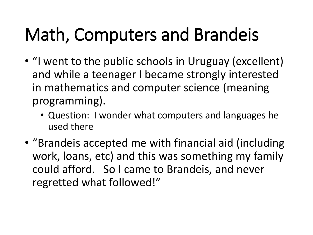# Math, Computers and Brandeis

- "I went to the public schools in Uruguay (excellent) and while a teenager I became strongly interested in mathematics and computer science (meaning programming).
	- Question: I wonder what computers and languages he used there
- "Brandeis accepted me with financial aid (including work, loans, etc) and this was something my family could afford. So I came to Brandeis, and never regretted what followed!"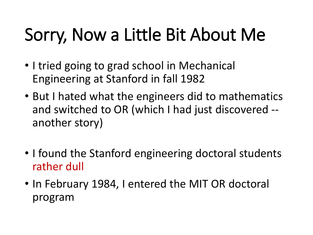### Sorry, Now a Little Bit About Me

- I tried going to grad school in Mechanical Engineering at Stanford in fall 1982
- But I hated what the engineers did to mathematics and switched to OR (which I had just discovered - another story)
- I found the Stanford engineering doctoral students rather dull
- In February 1984, I entered the MIT OR doctoral program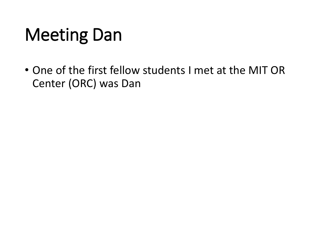# Meeting Dan

• One of the first fellow students I met at the MIT OR Center (ORC) was Dan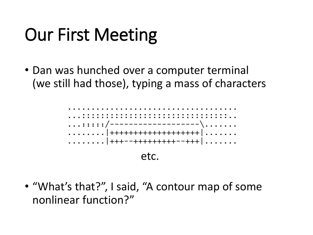### Our First Meeting

• Dan was hunched over a computer terminal (we still had those), typing a mass of characters



• "What's that?", I said, "A contour map of some nonlinear function?"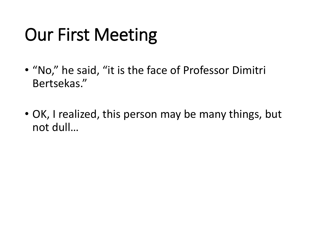### Our First Meeting

- "No," he said, "it is the face of Professor Dimitri Bertsekas."
- OK, I realized, this person may be many things, but not dull…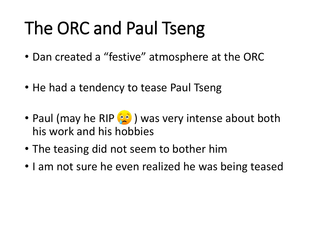# The ORC and Paul Tseng

- Dan created a "festive" atmosphere at the ORC
- He had a tendency to tease Paul Tseng
- Paul (may he RIP (20) was very intense about both his work and his hobbies
- The teasing did not seem to bother him
- I am not sure he even realized he was being teased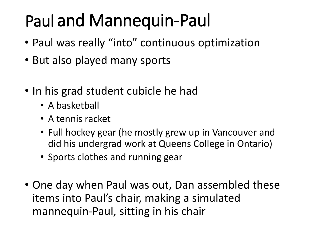#### Paul and Mannequin-Paul

- Paul was really "into" continuous optimization
- But also played many sports
- In his grad student cubicle he had
	- A basketball
	- A tennis racket
	- Full hockey gear (he mostly grew up in Vancouver and did his undergrad work at Queens College in Ontario)
	- Sports clothes and running gear
- One day when Paul was out, Dan assembled these items into Paul's chair, making a simulated mannequin-Paul, sitting in his chair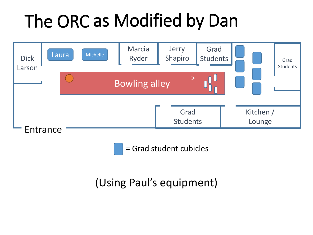# The ORC as Modified by Dan



= Grad student cubicles

(Using Paul's equipment)